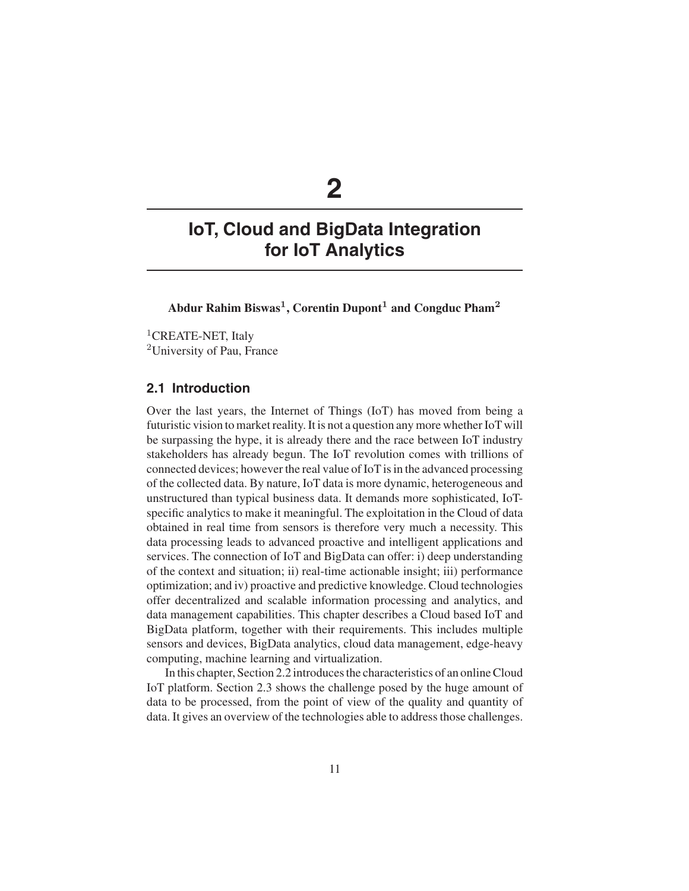# **2**

## **IoT, Cloud and BigData Integration for IoT Analytics**

**Abdur Rahim Biswas1, Corentin Dupont<sup>1</sup> and Congduc Pham<sup>2</sup>**

<sup>1</sup>CREATE-NET, Italy <sup>2</sup>University of Pau, France

## **2.1 Introduction**

Over the last years, the Internet of Things (IoT) has moved from being a futuristic vision to market reality. It is not a question any more whether IoT will be surpassing the hype, it is already there and the race between IoT industry stakeholders has already begun. The IoT revolution comes with trillions of connected devices; however the real value of IoT is in the advanced processing of the collected data. By nature, IoT data is more dynamic, heterogeneous and unstructured than typical business data. It demands more sophisticated, IoTspecific analytics to make it meaningful. The exploitation in the Cloud of data obtained in real time from sensors is therefore very much a necessity. This data processing leads to advanced proactive and intelligent applications and services. The connection of IoT and BigData can offer: i) deep understanding of the context and situation; ii) real-time actionable insight; iii) performance optimization; and iv) proactive and predictive knowledge. Cloud technologies offer decentralized and scalable information processing and analytics, and data management capabilities. This chapter describes a Cloud based IoT and BigData platform, together with their requirements. This includes multiple sensors and devices, BigData analytics, cloud data management, edge-heavy computing, machine learning and virtualization.

In this chapter, Section 2.2 introduces the characteristics of an online Cloud IoT platform. Section 2.3 shows the challenge posed by the huge amount of data to be processed, from the point of view of the quality and quantity of data. It gives an overview of the technologies able to address those challenges.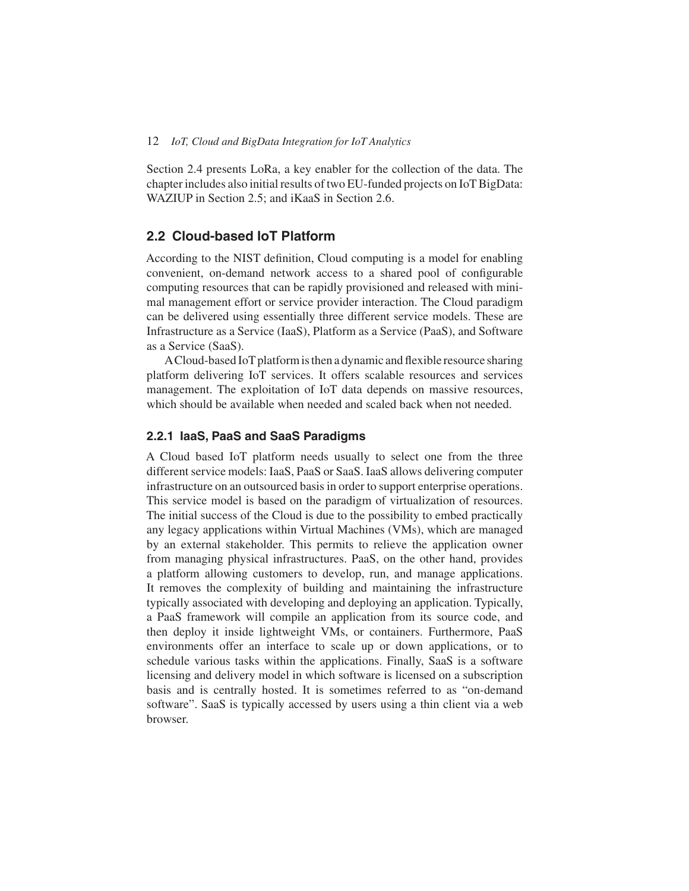Section 2.4 presents LoRa, a key enabler for the collection of the data. The chapter includes also initial results of two EU-funded projects on IoT BigData: WAZIUP in Section 2.5; and iKaaS in Section 2.6.

## **2.2 Cloud-based IoT Platform**

According to the NIST definition, Cloud computing is a model for enabling convenient, on-demand network access to a shared pool of configurable computing resources that can be rapidly provisioned and released with minimal management effort or service provider interaction. The Cloud paradigm can be delivered using essentially three different service models. These are Infrastructure as a Service (IaaS), Platform as a Service (PaaS), and Software as a Service (SaaS).

ACloud-based IoT platform is then a dynamic and flexible resource sharing platform delivering IoT services. It offers scalable resources and services management. The exploitation of IoT data depends on massive resources, which should be available when needed and scaled back when not needed.

#### **2.2.1 IaaS, PaaS and SaaS Paradigms**

A Cloud based IoT platform needs usually to select one from the three different service models: IaaS, PaaS or SaaS. IaaS allows delivering computer infrastructure on an outsourced basis in order to support enterprise operations. This service model is based on the paradigm of virtualization of resources. The initial success of the Cloud is due to the possibility to embed practically any legacy applications within Virtual Machines (VMs), which are managed by an external stakeholder. This permits to relieve the application owner from managing physical infrastructures. PaaS, on the other hand, provides a platform allowing customers to develop, run, and manage applications. It removes the complexity of building and maintaining the infrastructure typically associated with developing and deploying an application. Typically, a PaaS framework will compile an application from its source code, and then deploy it inside lightweight VMs, or containers. Furthermore, PaaS environments offer an interface to scale up or down applications, or to schedule various tasks within the applications. Finally, SaaS is a software licensing and delivery model in which software is licensed on a subscription basis and is centrally hosted. It is sometimes referred to as "on-demand software". SaaS is typically accessed by users using a thin client via a web browser.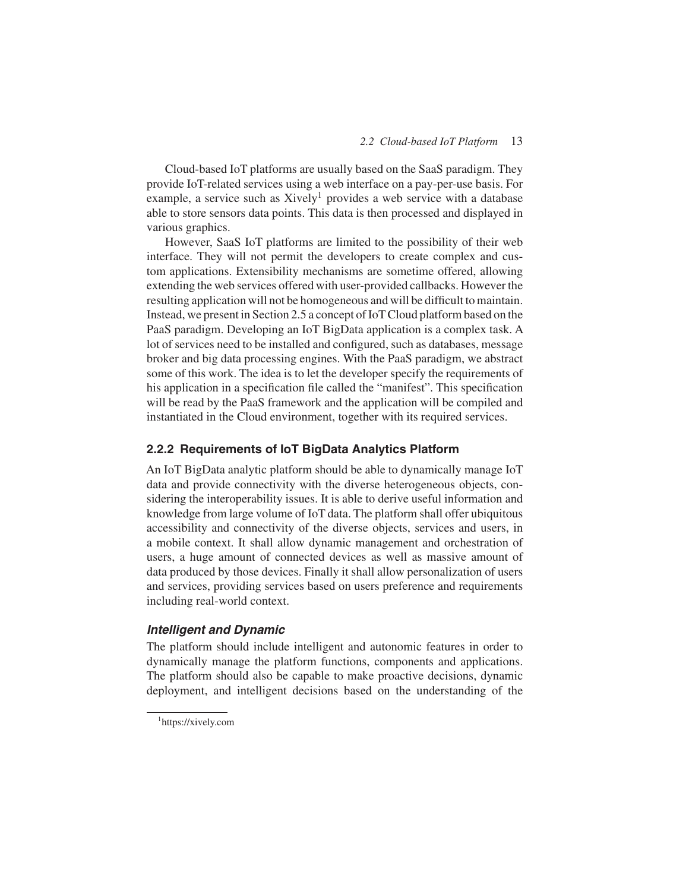Cloud-based IoT platforms are usually based on the SaaS paradigm. They provide IoT-related services using a web interface on a pay-per-use basis. For example, a service such as Xively<sup>1</sup> provides a web service with a database able to store sensors data points. This data is then processed and displayed in various graphics.

However, SaaS IoT platforms are limited to the possibility of their web interface. They will not permit the developers to create complex and custom applications. Extensibility mechanisms are sometime offered, allowing extending the web services offered with user-provided callbacks. However the resulting application will not be homogeneous and will be difficult to maintain. Instead, we present in Section 2.5 a concept of IoT Cloud platform based on the PaaS paradigm. Developing an IoT BigData application is a complex task. A lot of services need to be installed and configured, such as databases, message broker and big data processing engines. With the PaaS paradigm, we abstract some of this work. The idea is to let the developer specify the requirements of his application in a specification file called the "manifest". This specification will be read by the PaaS framework and the application will be compiled and instantiated in the Cloud environment, together with its required services.

#### **2.2.2 Requirements of IoT BigData Analytics Platform**

An IoT BigData analytic platform should be able to dynamically manage IoT data and provide connectivity with the diverse heterogeneous objects, considering the interoperability issues. It is able to derive useful information and knowledge from large volume of IoT data. The platform shall offer ubiquitous accessibility and connectivity of the diverse objects, services and users, in a mobile context. It shall allow dynamic management and orchestration of users, a huge amount of connected devices as well as massive amount of data produced by those devices. Finally it shall allow personalization of users and services, providing services based on users preference and requirements including real-world context.

#### *Intelligent and Dynamic*

The platform should include intelligent and autonomic features in order to dynamically manage the platform functions, components and applications. The platform should also be capable to make proactive decisions, dynamic deployment, and intelligent decisions based on the understanding of the

<sup>1</sup> https://xively.com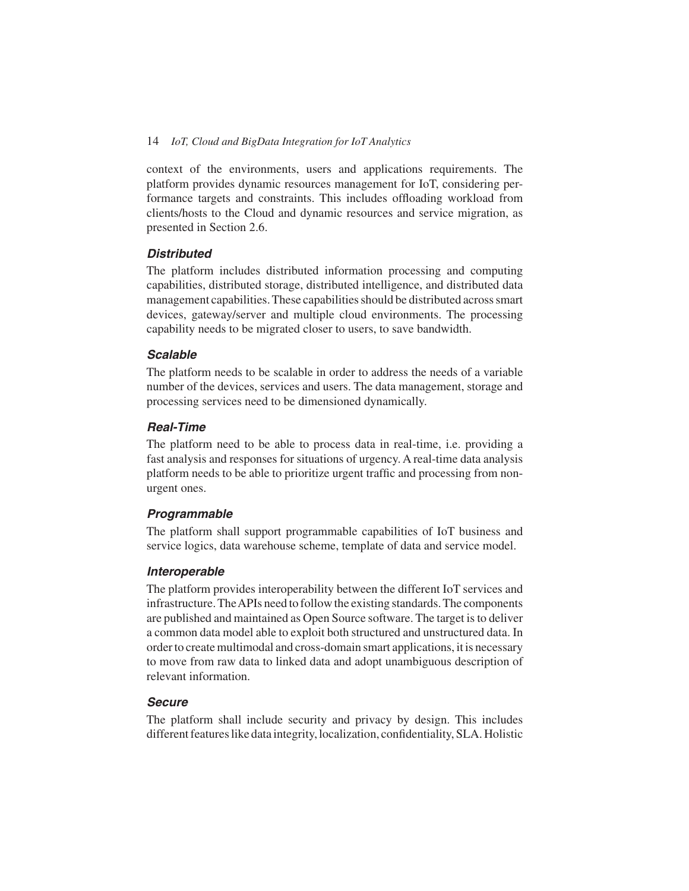context of the environments, users and applications requirements. The platform provides dynamic resources management for IoT, considering performance targets and constraints. This includes offloading workload from clients/hosts to the Cloud and dynamic resources and service migration, as presented in Section 2.6.

## *Distributed*

The platform includes distributed information processing and computing capabilities, distributed storage, distributed intelligence, and distributed data management capabilities. These capabilities should be distributed across smart devices, gateway/server and multiple cloud environments. The processing capability needs to be migrated closer to users, to save bandwidth.

#### *Scalable*

The platform needs to be scalable in order to address the needs of a variable number of the devices, services and users. The data management, storage and processing services need to be dimensioned dynamically.

#### *Real-Time*

The platform need to be able to process data in real-time, i.e. providing a fast analysis and responses for situations of urgency. A real-time data analysis platform needs to be able to prioritize urgent traffic and processing from nonurgent ones.

#### *Programmable*

The platform shall support programmable capabilities of IoT business and service logics, data warehouse scheme, template of data and service model.

#### *Interoperable*

The platform provides interoperability between the different IoT services and infrastructure. TheAPIs need to follow the existing standards. The components are published and maintained as Open Source software. The target is to deliver a common data model able to exploit both structured and unstructured data. In order to create multimodal and cross-domain smart applications, it is necessary to move from raw data to linked data and adopt unambiguous description of relevant information.

#### *Secure*

The platform shall include security and privacy by design. This includes different features like data integrity, localization, confidentiality, SLA. Holistic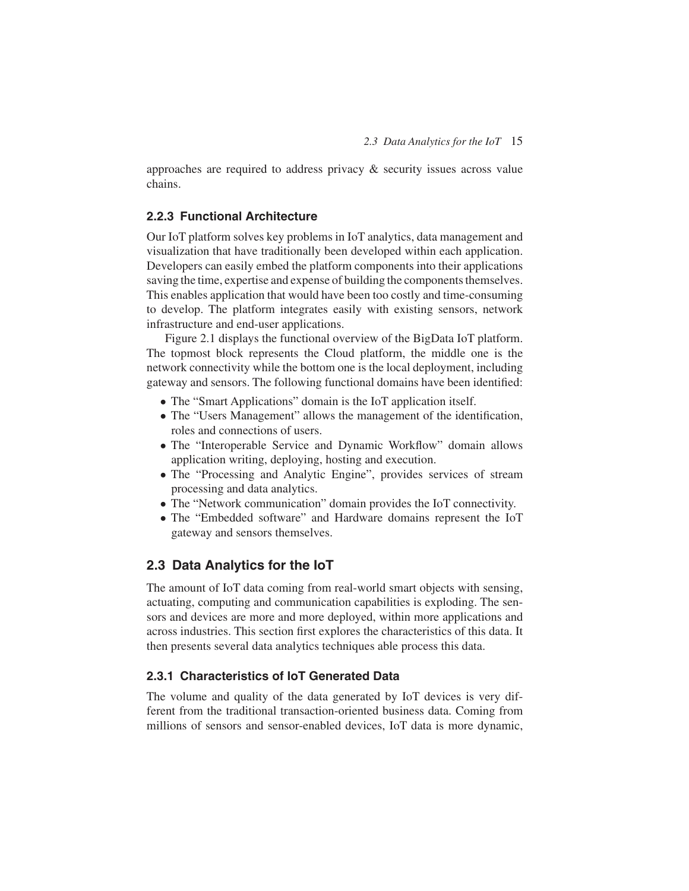approaches are required to address privacy & security issues across value chains.

## **2.2.3 Functional Architecture**

Our IoT platform solves key problems in IoT analytics, data management and visualization that have traditionally been developed within each application. Developers can easily embed the platform components into their applications saving the time, expertise and expense of building the components themselves. This enables application that would have been too costly and time-consuming to develop. The platform integrates easily with existing sensors, network infrastructure and end-user applications.

Figure 2.1 displays the functional overview of the BigData IoT platform. The topmost block represents the Cloud platform, the middle one is the network connectivity while the bottom one is the local deployment, including gateway and sensors. The following functional domains have been identified:

- The "Smart Applications" domain is the IoT application itself.
- The "Users Management" allows the management of the identification, roles and connections of users.
- The "Interoperable Service and Dynamic Workflow" domain allows application writing, deploying, hosting and execution.
- The "Processing and Analytic Engine", provides services of stream processing and data analytics.
- The "Network communication" domain provides the IoT connectivity.
- The "Embedded software" and Hardware domains represent the IoT gateway and sensors themselves.

## **2.3 Data Analytics for the IoT**

The amount of IoT data coming from real-world smart objects with sensing, actuating, computing and communication capabilities is exploding. The sensors and devices are more and more deployed, within more applications and across industries. This section first explores the characteristics of this data. It then presents several data analytics techniques able process this data.

## **2.3.1 Characteristics of IoT Generated Data**

The volume and quality of the data generated by IoT devices is very different from the traditional transaction-oriented business data. Coming from millions of sensors and sensor-enabled devices, IoT data is more dynamic,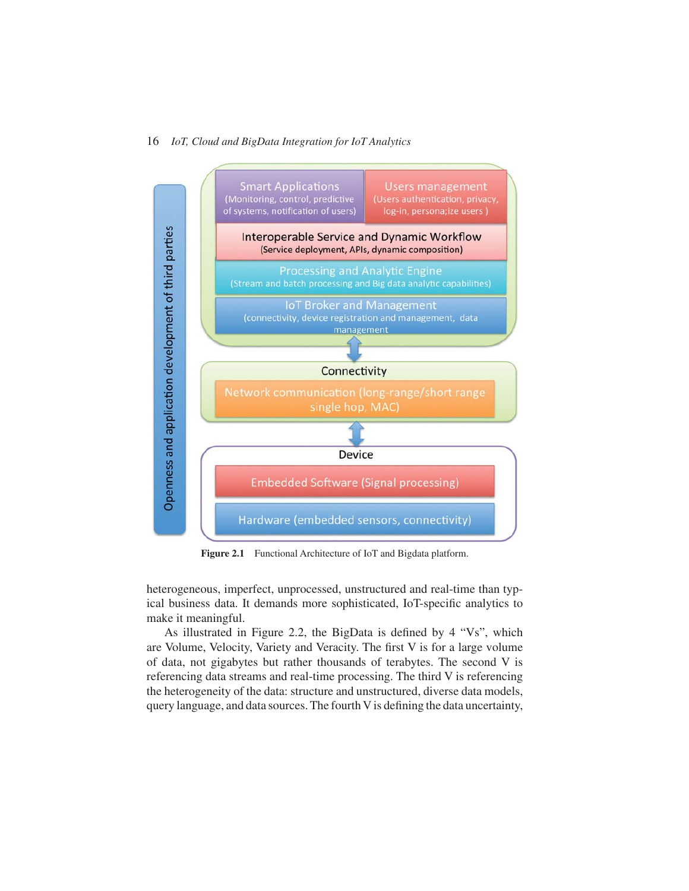

**Figure 2.1** Functional Architecture of IoT and Bigdata platform.

heterogeneous, imperfect, unprocessed, unstructured and real-time than typical business data. It demands more sophisticated, IoT-specific analytics to make it meaningful.

As illustrated in Figure 2.2, the BigData is defined by 4 "Vs", which are Volume, Velocity, Variety and Veracity. The first V is for a large volume of data, not gigabytes but rather thousands of terabytes. The second V is referencing data streams and real-time processing. The third V is referencing the heterogeneity of the data: structure and unstructured, diverse data models, query language, and data sources. The fourth V is defining the data uncertainty,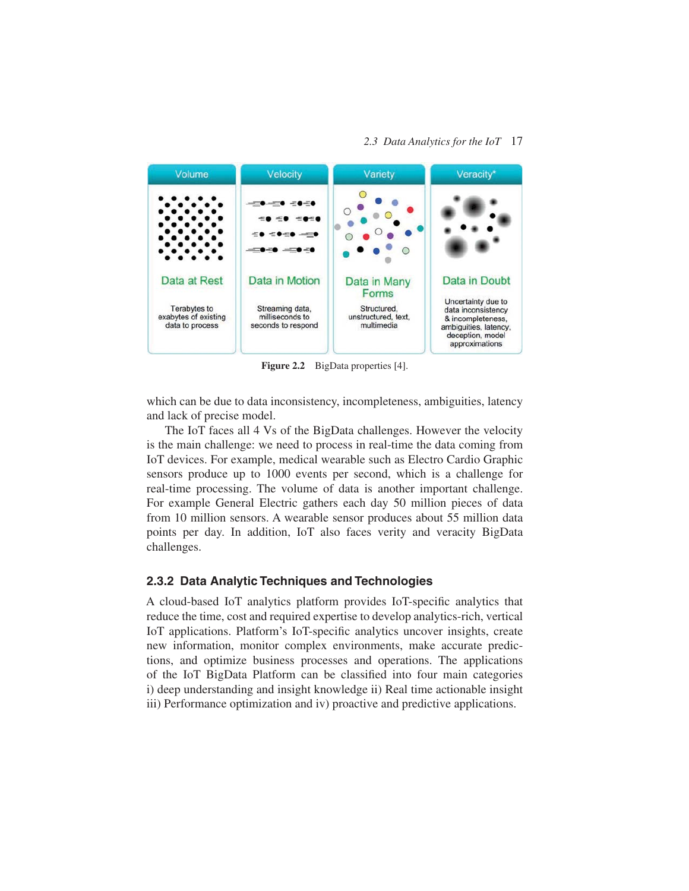#### *2.3 Data Analytics for the IoT* 17



Figure 2.2 BigData properties [4].

which can be due to data inconsistency, incompleteness, ambiguities, latency and lack of precise model.

The IoT faces all 4 Vs of the BigData challenges. However the velocity is the main challenge: we need to process in real-time the data coming from IoT devices. For example, medical wearable such as Electro Cardio Graphic sensors produce up to 1000 events per second, which is a challenge for real-time processing. The volume of data is another important challenge. For example General Electric gathers each day 50 million pieces of data from 10 million sensors. A wearable sensor produces about 55 million data points per day. In addition, IoT also faces verity and veracity BigData challenges.

## **2.3.2 Data Analytic Techniques and Technologies**

A cloud-based IoT analytics platform provides IoT-specific analytics that reduce the time, cost and required expertise to develop analytics-rich, vertical IoT applications. Platform's IoT-specific analytics uncover insights, create new information, monitor complex environments, make accurate predictions, and optimize business processes and operations. The applications of the IoT BigData Platform can be classified into four main categories i) deep understanding and insight knowledge ii) Real time actionable insight iii) Performance optimization and iv) proactive and predictive applications.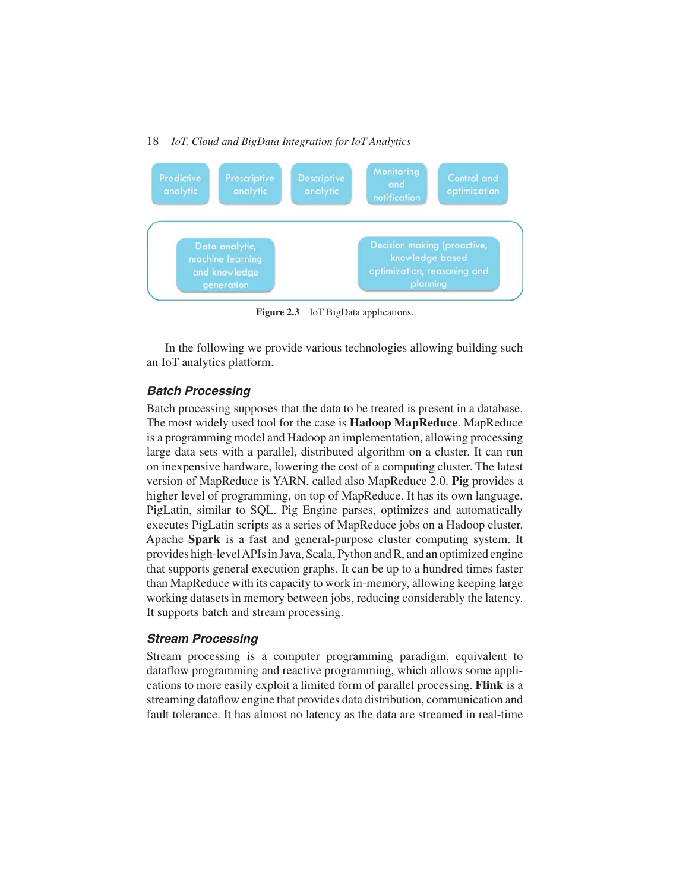

**Figure 2.3** IoT BigData applications.

In the following we provide various technologies allowing building such an IoT analytics platform.

#### *Batch Processing*

Batch processing supposes that the data to be treated is present in a database. The most widely used tool for the case is **Hadoop MapReduce**. MapReduce is a programming model and Hadoop an implementation, allowing processing large data sets with a parallel, distributed algorithm on a cluster. It can run on inexpensive hardware, lowering the cost of a computing cluster. The latest version of MapReduce is YARN, called also MapReduce 2.0. **Pig** provides a higher level of programming, on top of MapReduce. It has its own language, PigLatin, similar to SQL. Pig Engine parses, optimizes and automatically executes PigLatin scripts as a series of MapReduce jobs on a Hadoop cluster. Apache **Spark** is a fast and general-purpose cluster computing system. It provides high-levelAPIs in Java, Scala, Python and R, and an optimized engine that supports general execution graphs. It can be up to a hundred times faster than MapReduce with its capacity to work in-memory, allowing keeping large working datasets in memory between jobs, reducing considerably the latency. It supports batch and stream processing.

#### *Stream Processing*

Stream processing is a computer programming paradigm, equivalent to dataflow programming and reactive programming, which allows some applications to more easily exploit a limited form of parallel processing. **Flink** is a streaming dataflow engine that provides data distribution, communication and fault tolerance. It has almost no latency as the data are streamed in real-time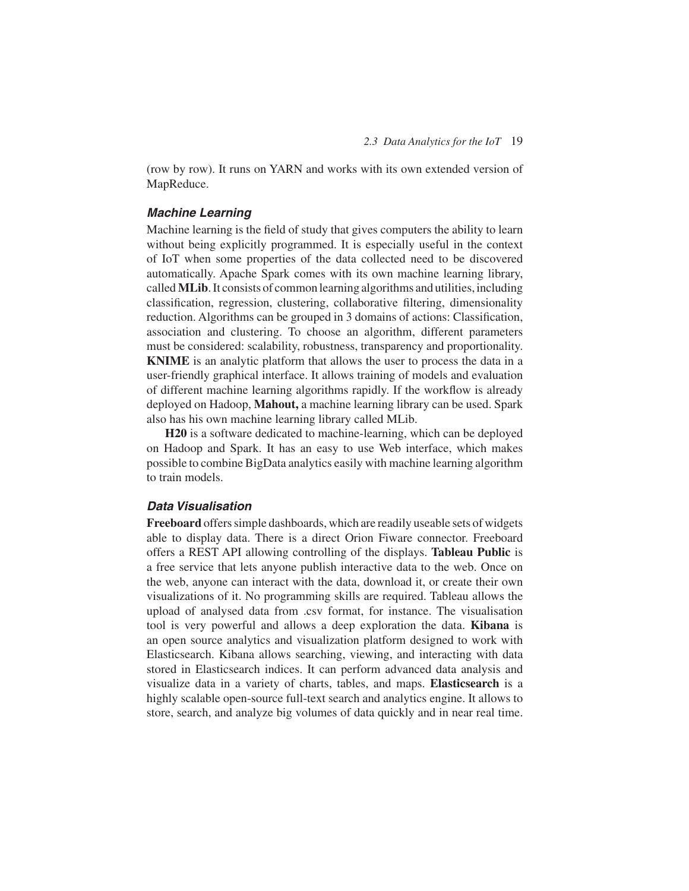(row by row). It runs on YARN and works with its own extended version of MapReduce.

#### *Machine Learning*

Machine learning is the field of study that gives computers the ability to learn without being explicitly programmed. It is especially useful in the context of IoT when some properties of the data collected need to be discovered automatically. Apache Spark comes with its own machine learning library, called **MLib**. It consists of common learning algorithms and utilities, including classification, regression, clustering, collaborative filtering, dimensionality reduction. Algorithms can be grouped in 3 domains of actions: Classification, association and clustering. To choose an algorithm, different parameters must be considered: scalability, robustness, transparency and proportionality. **KNIME** is an analytic platform that allows the user to process the data in a user-friendly graphical interface. It allows training of models and evaluation of different machine learning algorithms rapidly. If the workflow is already deployed on Hadoop, **Mahout,** a machine learning library can be used. Spark also has his own machine learning library called MLib.

**H20** is a software dedicated to machine-learning, which can be deployed on Hadoop and Spark. It has an easy to use Web interface, which makes possible to combine BigData analytics easily with machine learning algorithm to train models.

#### *Data Visualisation*

**Freeboard** offers simple dashboards, which are readily useable sets of widgets able to display data. There is a direct Orion Fiware connector. Freeboard offers a REST API allowing controlling of the displays. **Tableau Public** is a free service that lets anyone publish interactive data to the web. Once on the web, anyone can interact with the data, download it, or create their own visualizations of it. No programming skills are required. Tableau allows the upload of analysed data from .csv format, for instance. The visualisation tool is very powerful and allows a deep exploration the data. **Kibana** is an open source analytics and visualization platform designed to work with Elasticsearch. Kibana allows searching, viewing, and interacting with data stored in Elasticsearch indices. It can perform advanced data analysis and visualize data in a variety of charts, tables, and maps. **Elasticsearch** is a highly scalable open-source full-text search and analytics engine. It allows to store, search, and analyze big volumes of data quickly and in near real time.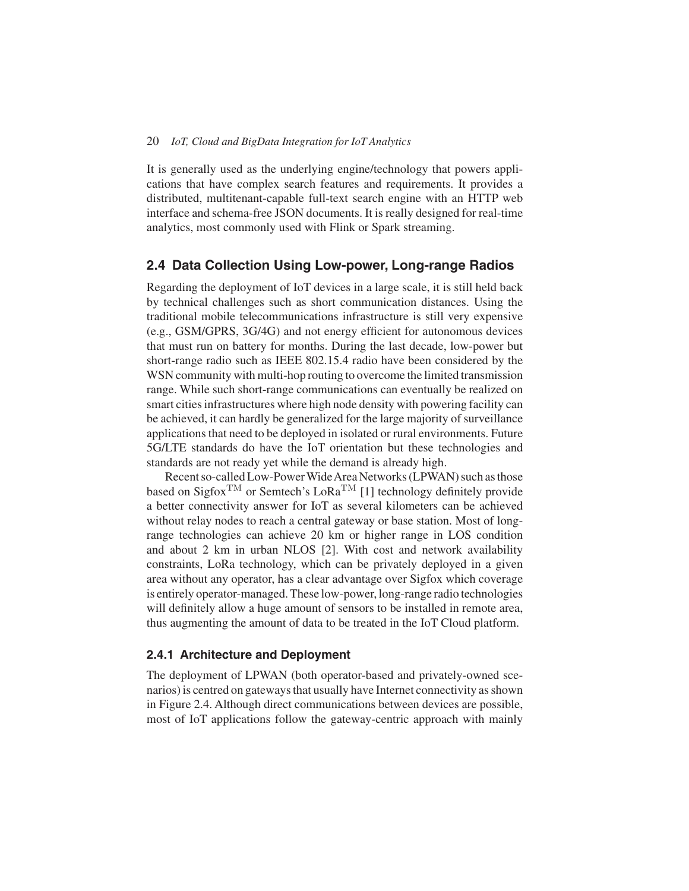It is generally used as the underlying engine/technology that powers applications that have complex search features and requirements. It provides a distributed, multitenant-capable full-text search engine with an HTTP web interface and schema-free JSON documents. It is really designed for real-time analytics, most commonly used with Flink or Spark streaming.

## **2.4 Data Collection Using Low-power, Long-range Radios**

Regarding the deployment of IoT devices in a large scale, it is still held back by technical challenges such as short communication distances. Using the traditional mobile telecommunications infrastructure is still very expensive (e.g., GSM/GPRS, 3G/4G) and not energy efficient for autonomous devices that must run on battery for months. During the last decade, low-power but short-range radio such as IEEE 802.15.4 radio have been considered by the WSN community with multi-hop routing to overcome the limited transmission range. While such short-range communications can eventually be realized on smart cities infrastructures where high node density with powering facility can be achieved, it can hardly be generalized for the large majority of surveillance applications that need to be deployed in isolated or rural environments. Future 5G/LTE standards do have the IoT orientation but these technologies and standards are not ready yet while the demand is already high.

Recent so-called Low-Power Wide Area Networks (LPWAN) such as those based on Sigfox<sup>TM</sup> or Semtech's LoRa<sup>TM</sup> [1] technology definitely provide a better connectivity answer for IoT as several kilometers can be achieved without relay nodes to reach a central gateway or base station. Most of longrange technologies can achieve 20 km or higher range in LOS condition and about 2 km in urban NLOS [2]. With cost and network availability constraints, LoRa technology, which can be privately deployed in a given area without any operator, has a clear advantage over Sigfox which coverage is entirely operator-managed. These low-power, long-range radio technologies will definitely allow a huge amount of sensors to be installed in remote area, thus augmenting the amount of data to be treated in the IoT Cloud platform.

#### **2.4.1 Architecture and Deployment**

The deployment of LPWAN (both operator-based and privately-owned scenarios) is centred on gateways that usually have Internet connectivity as shown in Figure 2.4. Although direct communications between devices are possible, most of IoT applications follow the gateway-centric approach with mainly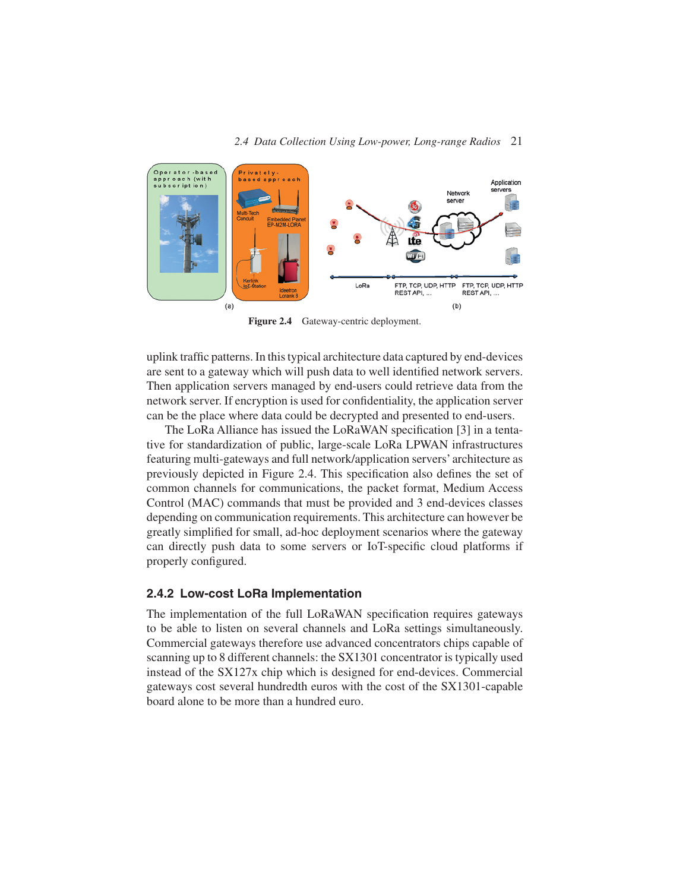

**Figure 2.4** Gateway-centric deployment.

uplink traffic patterns. In this typical architecture data captured by end-devices are sent to a gateway which will push data to well identified network servers. Then application servers managed by end-users could retrieve data from the network server. If encryption is used for confidentiality, the application server can be the place where data could be decrypted and presented to end-users.

The LoRa Alliance has issued the LoRaWAN specification [3] in a tentative for standardization of public, large-scale LoRa LPWAN infrastructures featuring multi-gateways and full network/application servers' architecture as previously depicted in Figure 2.4. This specification also defines the set of common channels for communications, the packet format, Medium Access Control (MAC) commands that must be provided and 3 end-devices classes depending on communication requirements. This architecture can however be greatly simplified for small, ad-hoc deployment scenarios where the gateway can directly push data to some servers or IoT-specific cloud platforms if properly configured.

#### **2.4.2 Low-cost LoRa Implementation**

The implementation of the full LoRaWAN specification requires gateways to be able to listen on several channels and LoRa settings simultaneously. Commercial gateways therefore use advanced concentrators chips capable of scanning up to 8 different channels: the SX1301 concentrator is typically used instead of the SX127x chip which is designed for end-devices. Commercial gateways cost several hundredth euros with the cost of the SX1301-capable board alone to be more than a hundred euro.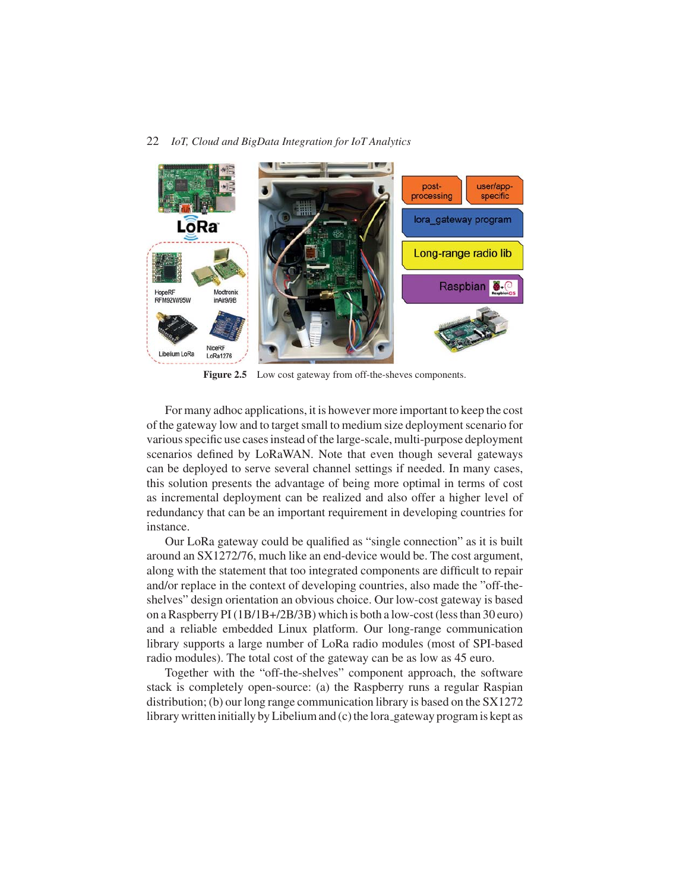

Figure 2.5 Low cost gateway from off-the-sheves components.

For many adhoc applications, it is however more important to keep the cost of the gateway low and to target small to medium size deployment scenario for various specific use cases instead of the large-scale, multi-purpose deployment scenarios defined by LoRaWAN. Note that even though several gateways can be deployed to serve several channel settings if needed. In many cases, this solution presents the advantage of being more optimal in terms of cost as incremental deployment can be realized and also offer a higher level of redundancy that can be an important requirement in developing countries for instance.

Our LoRa gateway could be qualified as "single connection" as it is built around an SX1272/76, much like an end-device would be. The cost argument, along with the statement that too integrated components are difficult to repair and/or replace in the context of developing countries, also made the "off-theshelves" design orientation an obvious choice. Our low-cost gateway is based on a Raspberry PI (1B/1B+/2B/3B) which is both a low-cost (less than 30 euro) and a reliable embedded Linux platform. Our long-range communication library supports a large number of LoRa radio modules (most of SPI-based radio modules). The total cost of the gateway can be as low as 45 euro.

Together with the "off-the-shelves" component approach, the software stack is completely open-source: (a) the Raspberry runs a regular Raspian distribution; (b) our long range communication library is based on the SX1272 library written initially by Libelium and (c) the lora gateway program is kept as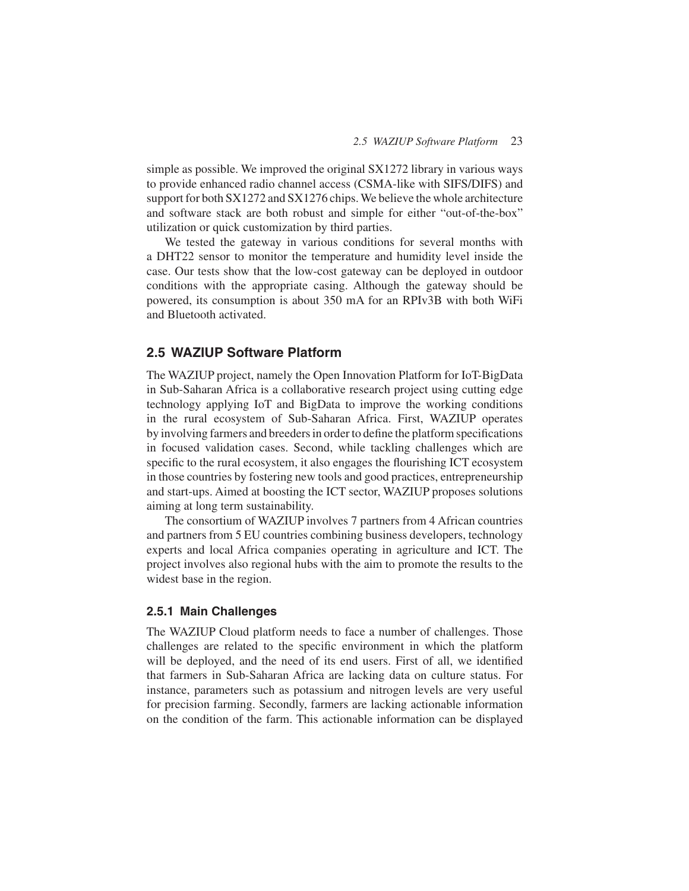simple as possible. We improved the original SX1272 library in various ways to provide enhanced radio channel access (CSMA-like with SIFS/DIFS) and support for both SX1272 and SX1276 chips. We believe the whole architecture and software stack are both robust and simple for either "out-of-the-box" utilization or quick customization by third parties.

We tested the gateway in various conditions for several months with a DHT22 sensor to monitor the temperature and humidity level inside the case. Our tests show that the low-cost gateway can be deployed in outdoor conditions with the appropriate casing. Although the gateway should be powered, its consumption is about 350 mA for an RPIv3B with both WiFi and Bluetooth activated.

## **2.5 WAZIUP Software Platform**

The WAZIUP project, namely the Open Innovation Platform for IoT-BigData in Sub-Saharan Africa is a collaborative research project using cutting edge technology applying IoT and BigData to improve the working conditions in the rural ecosystem of Sub-Saharan Africa. First, WAZIUP operates by involving farmers and breeders in order to define the platform specifications in focused validation cases. Second, while tackling challenges which are specific to the rural ecosystem, it also engages the flourishing ICT ecosystem in those countries by fostering new tools and good practices, entrepreneurship and start-ups. Aimed at boosting the ICT sector, WAZIUP proposes solutions aiming at long term sustainability.

The consortium of WAZIUP involves 7 partners from 4 African countries and partners from 5 EU countries combining business developers, technology experts and local Africa companies operating in agriculture and ICT. The project involves also regional hubs with the aim to promote the results to the widest base in the region.

## **2.5.1 Main Challenges**

The WAZIUP Cloud platform needs to face a number of challenges. Those challenges are related to the specific environment in which the platform will be deployed, and the need of its end users. First of all, we identified that farmers in Sub-Saharan Africa are lacking data on culture status. For instance, parameters such as potassium and nitrogen levels are very useful for precision farming. Secondly, farmers are lacking actionable information on the condition of the farm. This actionable information can be displayed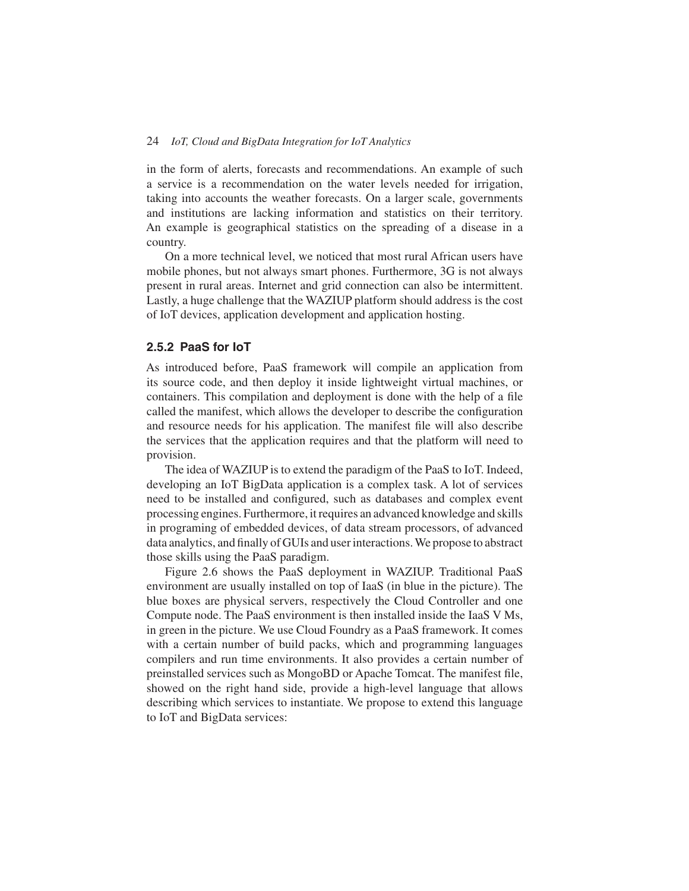in the form of alerts, forecasts and recommendations. An example of such a service is a recommendation on the water levels needed for irrigation, taking into accounts the weather forecasts. On a larger scale, governments and institutions are lacking information and statistics on their territory. An example is geographical statistics on the spreading of a disease in a country.

On a more technical level, we noticed that most rural African users have mobile phones, but not always smart phones. Furthermore, 3G is not always present in rural areas. Internet and grid connection can also be intermittent. Lastly, a huge challenge that the WAZIUP platform should address is the cost of IoT devices, application development and application hosting.

## **2.5.2 PaaS for IoT**

As introduced before, PaaS framework will compile an application from its source code, and then deploy it inside lightweight virtual machines, or containers. This compilation and deployment is done with the help of a file called the manifest, which allows the developer to describe the configuration and resource needs for his application. The manifest file will also describe the services that the application requires and that the platform will need to provision.

The idea of WAZIUP is to extend the paradigm of the PaaS to IoT. Indeed, developing an IoT BigData application is a complex task. A lot of services need to be installed and configured, such as databases and complex event processing engines. Furthermore, it requires an advanced knowledge and skills in programing of embedded devices, of data stream processors, of advanced data analytics, and finally of GUIs and user interactions.We propose to abstract those skills using the PaaS paradigm.

Figure 2.6 shows the PaaS deployment in WAZIUP. Traditional PaaS environment are usually installed on top of IaaS (in blue in the picture). The blue boxes are physical servers, respectively the Cloud Controller and one Compute node. The PaaS environment is then installed inside the IaaS V Ms, in green in the picture. We use Cloud Foundry as a PaaS framework. It comes with a certain number of build packs, which and programming languages compilers and run time environments. It also provides a certain number of preinstalled services such as MongoBD or Apache Tomcat. The manifest file, showed on the right hand side, provide a high-level language that allows describing which services to instantiate. We propose to extend this language to IoT and BigData services: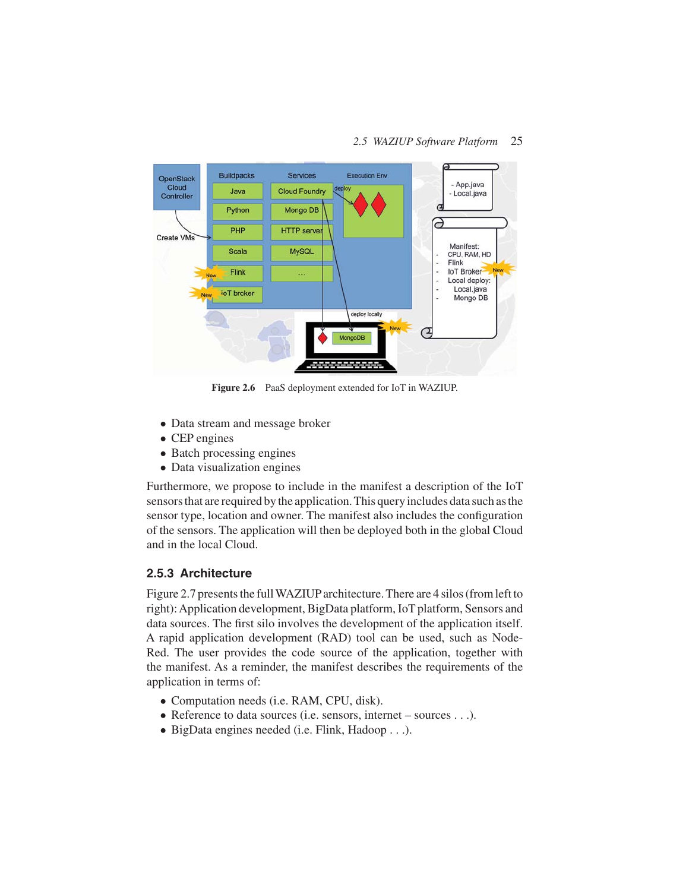#### *2.5 WAZIUP Software Platform* 25



**Figure 2.6** PaaS deployment extended for IoT in WAZIUP.

- Data stream and message broker
- CEP engines
- Batch processing engines
- Data visualization engines

Furthermore, we propose to include in the manifest a description of the IoT sensors that are required by the application. This query includes data such as the sensor type, location and owner. The manifest also includes the configuration of the sensors. The application will then be deployed both in the global Cloud and in the local Cloud.

#### **2.5.3 Architecture**

Figure 2.7 presents the fullWAZIUP architecture. There are 4 silos (from left to right):Application development, BigData platform, IoT platform, Sensors and data sources. The first silo involves the development of the application itself. A rapid application development (RAD) tool can be used, such as Node-Red. The user provides the code source of the application, together with the manifest. As a reminder, the manifest describes the requirements of the application in terms of:

- Computation needs (i.e. RAM, CPU, disk).
- Reference to data sources (i.e. sensors, internet sources . . .).
- BigData engines needed (i.e. Flink, Hadoop . . .).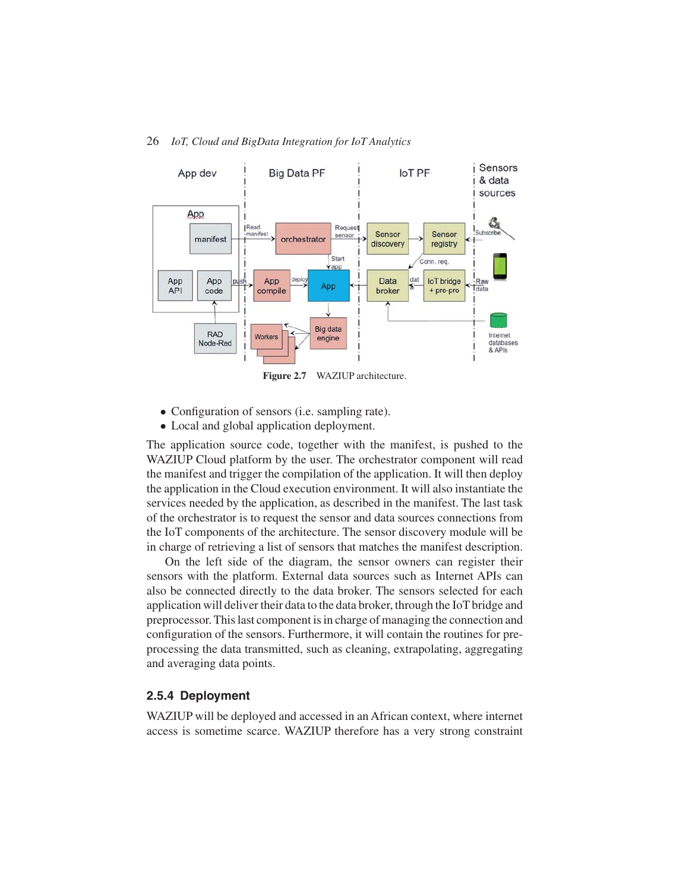

**Figure 2.7** WAZIUP architecture.

- Configuration of sensors (i.e. sampling rate).
- Local and global application deployment.

The application source code, together with the manifest, is pushed to the WAZIUP Cloud platform by the user. The orchestrator component will read the manifest and trigger the compilation of the application. It will then deploy the application in the Cloud execution environment. It will also instantiate the services needed by the application, as described in the manifest. The last task of the orchestrator is to request the sensor and data sources connections from the IoT components of the architecture. The sensor discovery module will be in charge of retrieving a list of sensors that matches the manifest description.

On the left side of the diagram, the sensor owners can register their sensors with the platform. External data sources such as Internet APIs can also be connected directly to the data broker. The sensors selected for each application will deliver their data to the data broker, through the IoT bridge and preprocessor. This last component is in charge of managing the connection and configuration of the sensors. Furthermore, it will contain the routines for preprocessing the data transmitted, such as cleaning, extrapolating, aggregating and averaging data points.

#### **2.5.4 Deployment**

WAZIUP will be deployed and accessed in an African context, where internet access is sometime scarce. WAZIUP therefore has a very strong constraint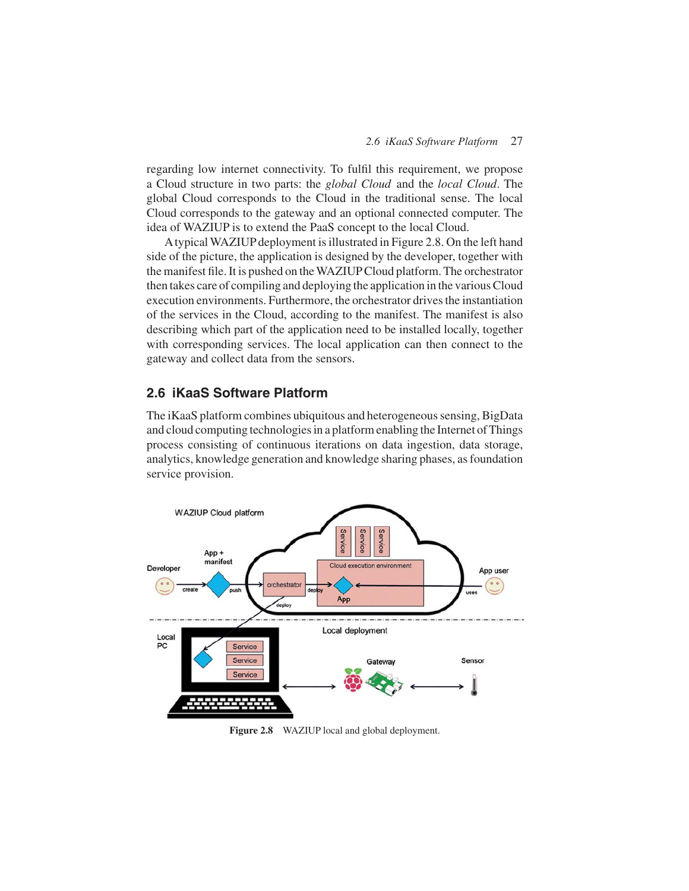regarding low internet connectivity. To fulfil this requirement, we propose a Cloud structure in two parts: the *global Cloud* and the *local Cloud*. The global Cloud corresponds to the Cloud in the traditional sense. The local Cloud corresponds to the gateway and an optional connected computer. The idea of WAZIUP is to extend the PaaS concept to the local Cloud.

Atypical WAZIUP deployment is illustrated in Figure 2.8. On the left hand side of the picture, the application is designed by the developer, together with the manifest file. It is pushed on theWAZIUPCloud platform. The orchestrator then takes care of compiling and deploying the application in the various Cloud execution environments. Furthermore, the orchestrator drives the instantiation of the services in the Cloud, according to the manifest. The manifest is also describing which part of the application need to be installed locally, together with corresponding services. The local application can then connect to the gateway and collect data from the sensors.

## **2.6 iKaaS Software Platform**

The iKaaS platform combines ubiquitous and heterogeneous sensing, BigData and cloud computing technologies in a platform enabling the Internet of Things process consisting of continuous iterations on data ingestion, data storage, analytics, knowledge generation and knowledge sharing phases, as foundation service provision.



**Figure 2.8** WAZIUP local and global deployment.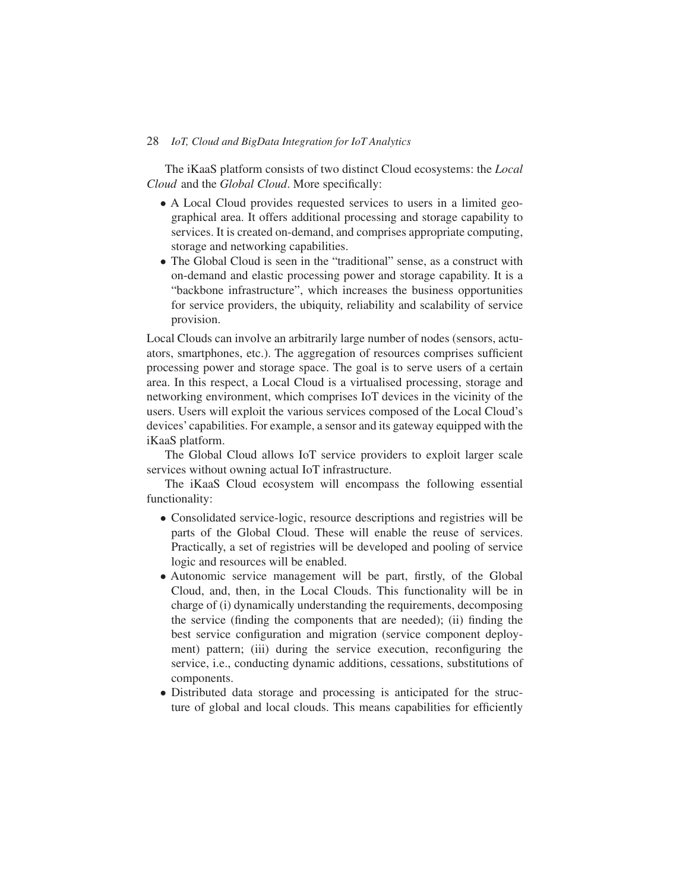The iKaaS platform consists of two distinct Cloud ecosystems: the *Local Cloud* and the *Global Cloud*. More specifically:

- A Local Cloud provides requested services to users in a limited geographical area. It offers additional processing and storage capability to services. It is created on-demand, and comprises appropriate computing, storage and networking capabilities.
- The Global Cloud is seen in the "traditional" sense, as a construct with on-demand and elastic processing power and storage capability. It is a "backbone infrastructure", which increases the business opportunities for service providers, the ubiquity, reliability and scalability of service provision.

Local Clouds can involve an arbitrarily large number of nodes (sensors, actuators, smartphones, etc.). The aggregation of resources comprises sufficient processing power and storage space. The goal is to serve users of a certain area. In this respect, a Local Cloud is a virtualised processing, storage and networking environment, which comprises IoT devices in the vicinity of the users. Users will exploit the various services composed of the Local Cloud's devices' capabilities. For example, a sensor and its gateway equipped with the iKaaS platform.

The Global Cloud allows IoT service providers to exploit larger scale services without owning actual IoT infrastructure.

The iKaaS Cloud ecosystem will encompass the following essential functionality:

- Consolidated service-logic, resource descriptions and registries will be parts of the Global Cloud. These will enable the reuse of services. Practically, a set of registries will be developed and pooling of service logic and resources will be enabled.
- Autonomic service management will be part, firstly, of the Global Cloud, and, then, in the Local Clouds. This functionality will be in charge of (i) dynamically understanding the requirements, decomposing the service (finding the components that are needed); (ii) finding the best service configuration and migration (service component deployment) pattern; (iii) during the service execution, reconfiguring the service, i.e., conducting dynamic additions, cessations, substitutions of components.
- Distributed data storage and processing is anticipated for the structure of global and local clouds. This means capabilities for efficiently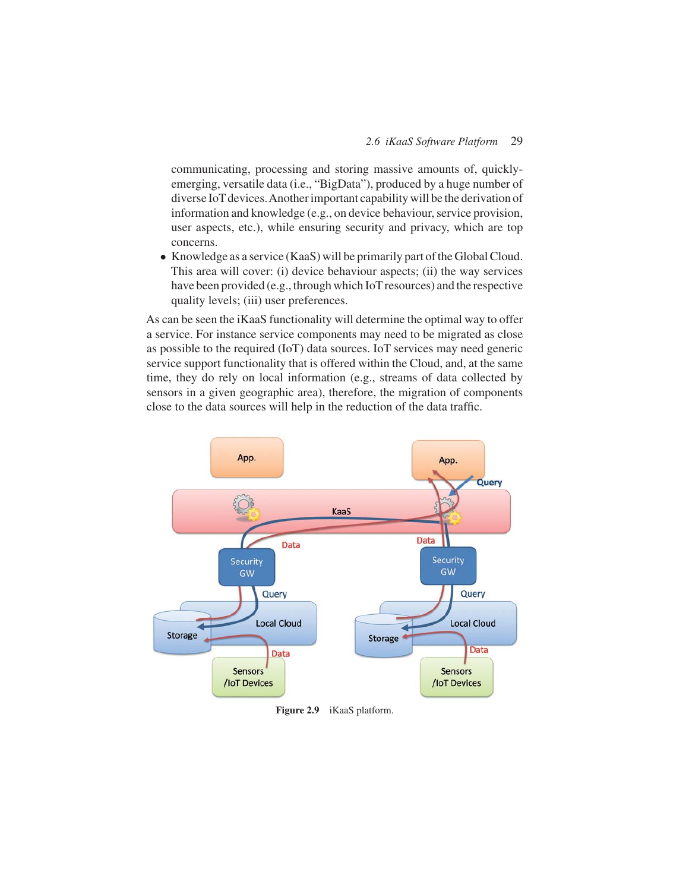communicating, processing and storing massive amounts of, quicklyemerging, versatile data (i.e., "BigData"), produced by a huge number of diverse IoT devices.Another important capability will be the derivation of information and knowledge (e.g., on device behaviour, service provision, user aspects, etc.), while ensuring security and privacy, which are top concerns.

• Knowledge as a service (KaaS) will be primarily part of the Global Cloud. This area will cover: (i) device behaviour aspects; (ii) the way services have been provided (e.g., through which IoT resources) and the respective quality levels; (iii) user preferences.

As can be seen the iKaaS functionality will determine the optimal way to offer a service. For instance service components may need to be migrated as close as possible to the required (IoT) data sources. IoT services may need generic service support functionality that is offered within the Cloud, and, at the same time, they do rely on local information (e.g., streams of data collected by sensors in a given geographic area), therefore, the migration of components close to the data sources will help in the reduction of the data traffic.



**Figure 2.9** iKaaS platform.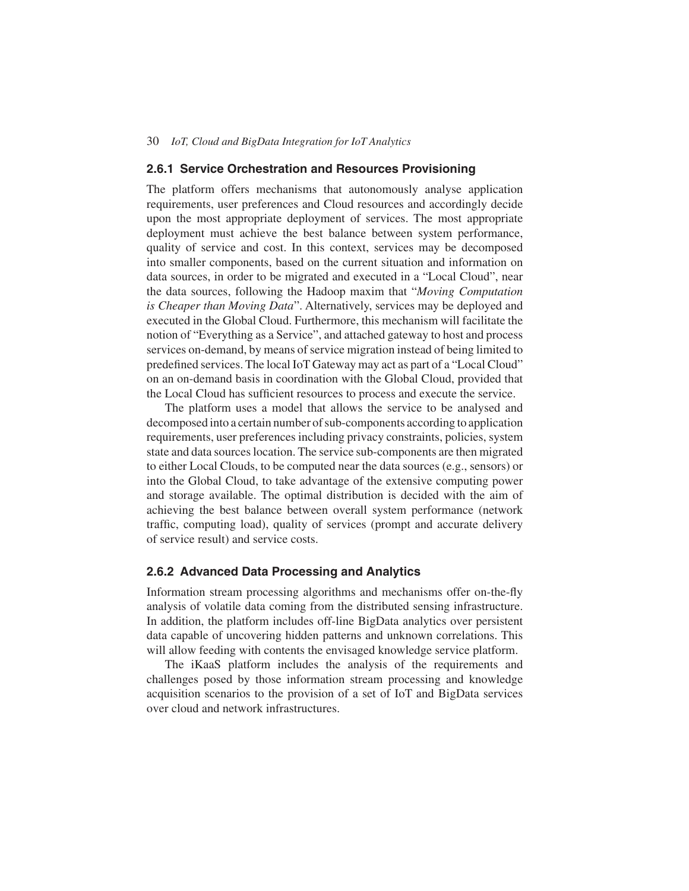#### **2.6.1 Service Orchestration and Resources Provisioning**

The platform offers mechanisms that autonomously analyse application requirements, user preferences and Cloud resources and accordingly decide upon the most appropriate deployment of services. The most appropriate deployment must achieve the best balance between system performance, quality of service and cost. In this context, services may be decomposed into smaller components, based on the current situation and information on data sources, in order to be migrated and executed in a "Local Cloud", near the data sources, following the Hadoop maxim that "*Moving Computation is Cheaper than Moving Data*". Alternatively, services may be deployed and executed in the Global Cloud. Furthermore, this mechanism will facilitate the notion of "Everything as a Service", and attached gateway to host and process services on-demand, by means of service migration instead of being limited to predefined services. The local IoT Gateway may act as part of a "Local Cloud" on an on-demand basis in coordination with the Global Cloud, provided that the Local Cloud has sufficient resources to process and execute the service.

The platform uses a model that allows the service to be analysed and decomposed into a certain number of sub-components according to application requirements, user preferences including privacy constraints, policies, system state and data sources location. The service sub-components are then migrated to either Local Clouds, to be computed near the data sources (e.g., sensors) or into the Global Cloud, to take advantage of the extensive computing power and storage available. The optimal distribution is decided with the aim of achieving the best balance between overall system performance (network traffic, computing load), quality of services (prompt and accurate delivery of service result) and service costs.

#### **2.6.2 Advanced Data Processing and Analytics**

Information stream processing algorithms and mechanisms offer on-the-fly analysis of volatile data coming from the distributed sensing infrastructure. In addition, the platform includes off-line BigData analytics over persistent data capable of uncovering hidden patterns and unknown correlations. This will allow feeding with contents the envisaged knowledge service platform.

The iKaaS platform includes the analysis of the requirements and challenges posed by those information stream processing and knowledge acquisition scenarios to the provision of a set of IoT and BigData services over cloud and network infrastructures.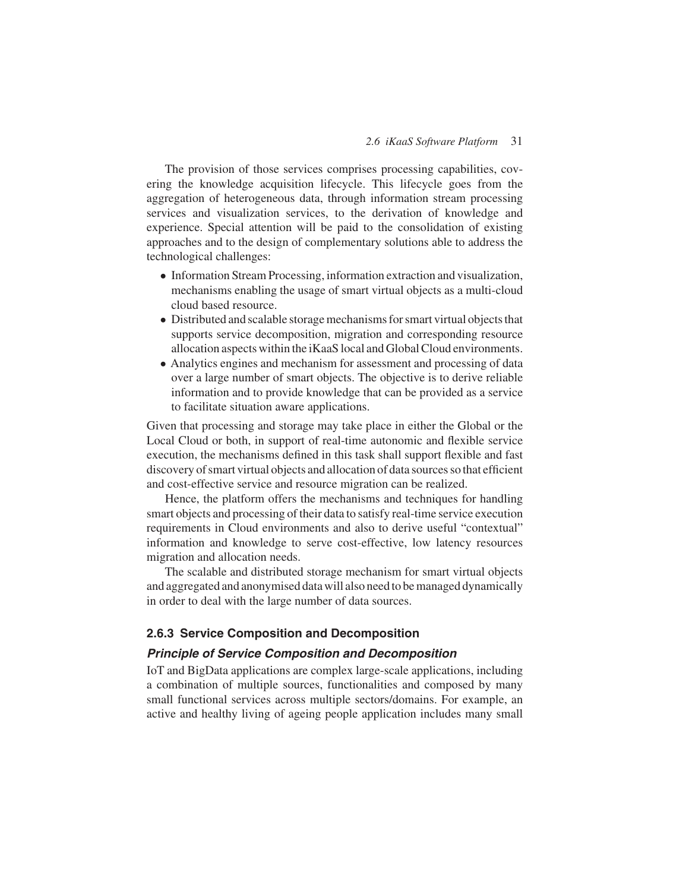The provision of those services comprises processing capabilities, covering the knowledge acquisition lifecycle. This lifecycle goes from the aggregation of heterogeneous data, through information stream processing services and visualization services, to the derivation of knowledge and experience. Special attention will be paid to the consolidation of existing approaches and to the design of complementary solutions able to address the technological challenges:

- Information Stream Processing, information extraction and visualization, mechanisms enabling the usage of smart virtual objects as a multi-cloud cloud based resource.
- Distributed and scalable storage mechanisms for smart virtual objects that supports service decomposition, migration and corresponding resource allocation aspects within the iKaaS local and Global Cloud environments.
- Analytics engines and mechanism for assessment and processing of data over a large number of smart objects. The objective is to derive reliable information and to provide knowledge that can be provided as a service to facilitate situation aware applications.

Given that processing and storage may take place in either the Global or the Local Cloud or both, in support of real-time autonomic and flexible service execution, the mechanisms defined in this task shall support flexible and fast discovery of smart virtual objects and allocation of data sources so that efficient and cost-effective service and resource migration can be realized.

Hence, the platform offers the mechanisms and techniques for handling smart objects and processing of their data to satisfy real-time service execution requirements in Cloud environments and also to derive useful "contextual" information and knowledge to serve cost-effective, low latency resources migration and allocation needs.

The scalable and distributed storage mechanism for smart virtual objects and aggregated and anonymised data will also need to be managed dynamically in order to deal with the large number of data sources.

#### **2.6.3 Service Composition and Decomposition**

#### *Principle of Service Composition and Decomposition*

IoT and BigData applications are complex large-scale applications, including a combination of multiple sources, functionalities and composed by many small functional services across multiple sectors/domains. For example, an active and healthy living of ageing people application includes many small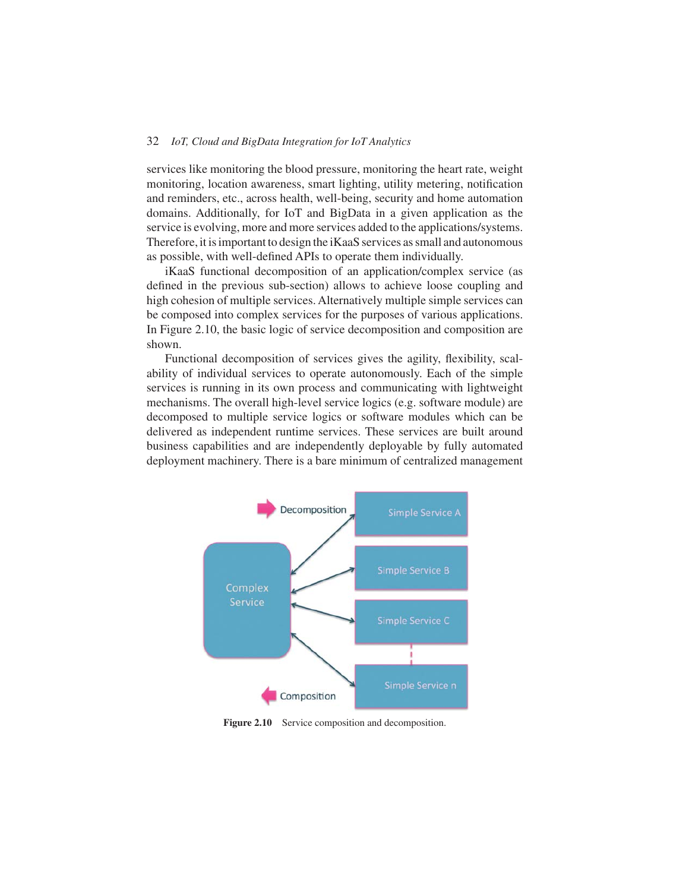services like monitoring the blood pressure, monitoring the heart rate, weight monitoring, location awareness, smart lighting, utility metering, notification and reminders, etc., across health, well-being, security and home automation domains. Additionally, for IoT and BigData in a given application as the service is evolving, more and more services added to the applications/systems. Therefore, it is important to design the iKaaS services as small and autonomous as possible, with well-defined APIs to operate them individually.

iKaaS functional decomposition of an application/complex service (as defined in the previous sub-section) allows to achieve loose coupling and high cohesion of multiple services. Alternatively multiple simple services can be composed into complex services for the purposes of various applications. In Figure 2.10, the basic logic of service decomposition and composition are shown.

Functional decomposition of services gives the agility, flexibility, scalability of individual services to operate autonomously. Each of the simple services is running in its own process and communicating with lightweight mechanisms. The overall high-level service logics (e.g. software module) are decomposed to multiple service logics or software modules which can be delivered as independent runtime services. These services are built around business capabilities and are independently deployable by fully automated deployment machinery. There is a bare minimum of centralized management



Figure 2.10 Service composition and decomposition.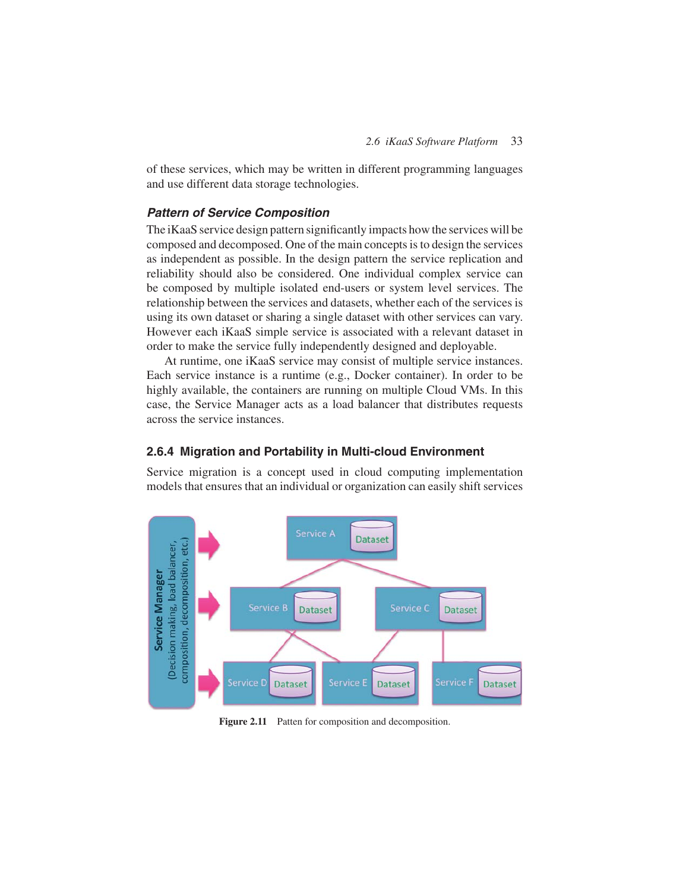of these services, which may be written in different programming languages and use different data storage technologies.

## *Pattern of Service Composition*

The iKaaS service design pattern significantly impacts how the services will be composed and decomposed. One of the main concepts is to design the services as independent as possible. In the design pattern the service replication and reliability should also be considered. One individual complex service can be composed by multiple isolated end-users or system level services. The relationship between the services and datasets, whether each of the services is using its own dataset or sharing a single dataset with other services can vary. However each iKaaS simple service is associated with a relevant dataset in order to make the service fully independently designed and deployable.

At runtime, one iKaaS service may consist of multiple service instances. Each service instance is a runtime (e.g., Docker container). In order to be highly available, the containers are running on multiple Cloud VMs. In this case, the Service Manager acts as a load balancer that distributes requests across the service instances.

#### **2.6.4 Migration and Portability in Multi-cloud Environment**

Service migration is a concept used in cloud computing implementation models that ensures that an individual or organization can easily shift services



Figure 2.11 Patten for composition and decomposition.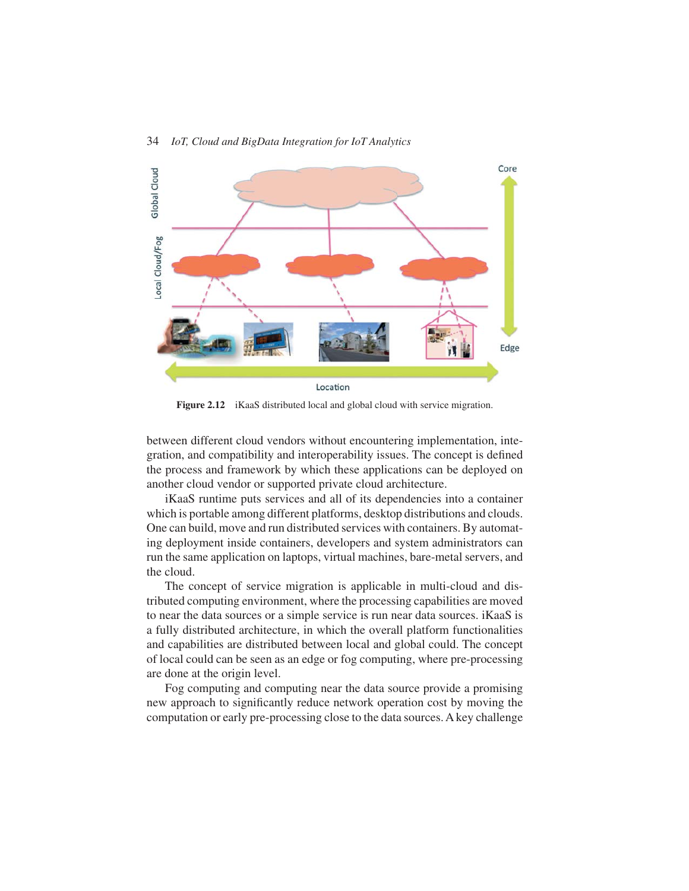

**Figure 2.12** iKaaS distributed local and global cloud with service migration.

between different cloud vendors without encountering implementation, integration, and compatibility and interoperability issues. The concept is defined the process and framework by which these applications can be deployed on another cloud vendor or supported private cloud architecture.

iKaaS runtime puts services and all of its dependencies into a container which is portable among different platforms, desktop distributions and clouds. One can build, move and run distributed services with containers. By automating deployment inside containers, developers and system administrators can run the same application on laptops, virtual machines, bare-metal servers, and the cloud.

The concept of service migration is applicable in multi-cloud and distributed computing environment, where the processing capabilities are moved to near the data sources or a simple service is run near data sources. iKaaS is a fully distributed architecture, in which the overall platform functionalities and capabilities are distributed between local and global could. The concept of local could can be seen as an edge or fog computing, where pre-processing are done at the origin level.

Fog computing and computing near the data source provide a promising new approach to significantly reduce network operation cost by moving the computation or early pre-processing close to the data sources. A key challenge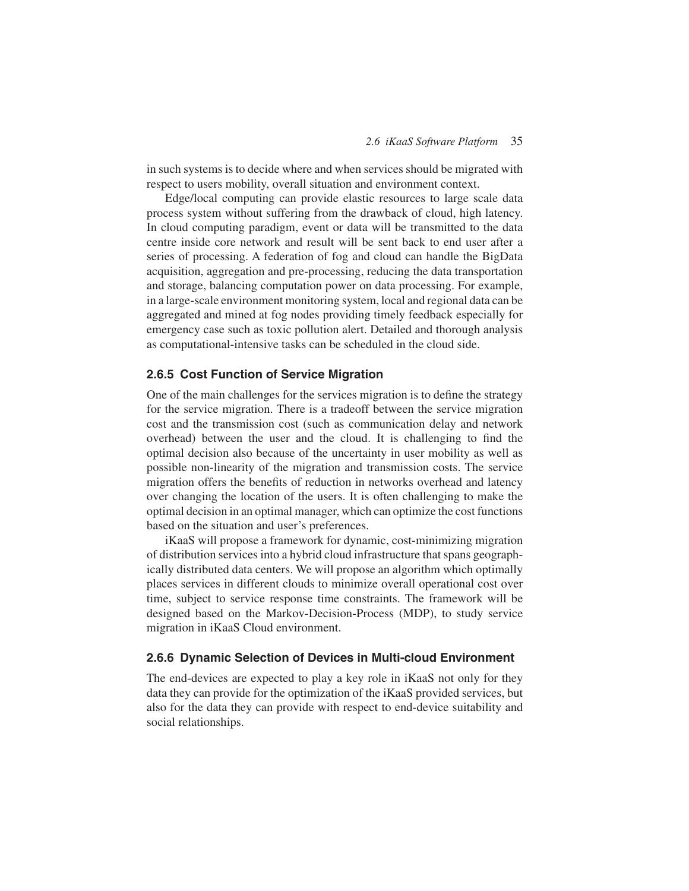in such systems is to decide where and when services should be migrated with respect to users mobility, overall situation and environment context.

Edge/local computing can provide elastic resources to large scale data process system without suffering from the drawback of cloud, high latency. In cloud computing paradigm, event or data will be transmitted to the data centre inside core network and result will be sent back to end user after a series of processing. A federation of fog and cloud can handle the BigData acquisition, aggregation and pre-processing, reducing the data transportation and storage, balancing computation power on data processing. For example, in a large-scale environment monitoring system, local and regional data can be aggregated and mined at fog nodes providing timely feedback especially for emergency case such as toxic pollution alert. Detailed and thorough analysis as computational-intensive tasks can be scheduled in the cloud side.

#### **2.6.5 Cost Function of Service Migration**

One of the main challenges for the services migration is to define the strategy for the service migration. There is a tradeoff between the service migration cost and the transmission cost (such as communication delay and network overhead) between the user and the cloud. It is challenging to find the optimal decision also because of the uncertainty in user mobility as well as possible non-linearity of the migration and transmission costs. The service migration offers the benefits of reduction in networks overhead and latency over changing the location of the users. It is often challenging to make the optimal decision in an optimal manager, which can optimize the cost functions based on the situation and user's preferences.

iKaaS will propose a framework for dynamic, cost-minimizing migration of distribution services into a hybrid cloud infrastructure that spans geographically distributed data centers. We will propose an algorithm which optimally places services in different clouds to minimize overall operational cost over time, subject to service response time constraints. The framework will be designed based on the Markov-Decision-Process (MDP), to study service migration in iKaaS Cloud environment.

#### **2.6.6 Dynamic Selection of Devices in Multi-cloud Environment**

The end-devices are expected to play a key role in iKaaS not only for they data they can provide for the optimization of the iKaaS provided services, but also for the data they can provide with respect to end-device suitability and social relationships.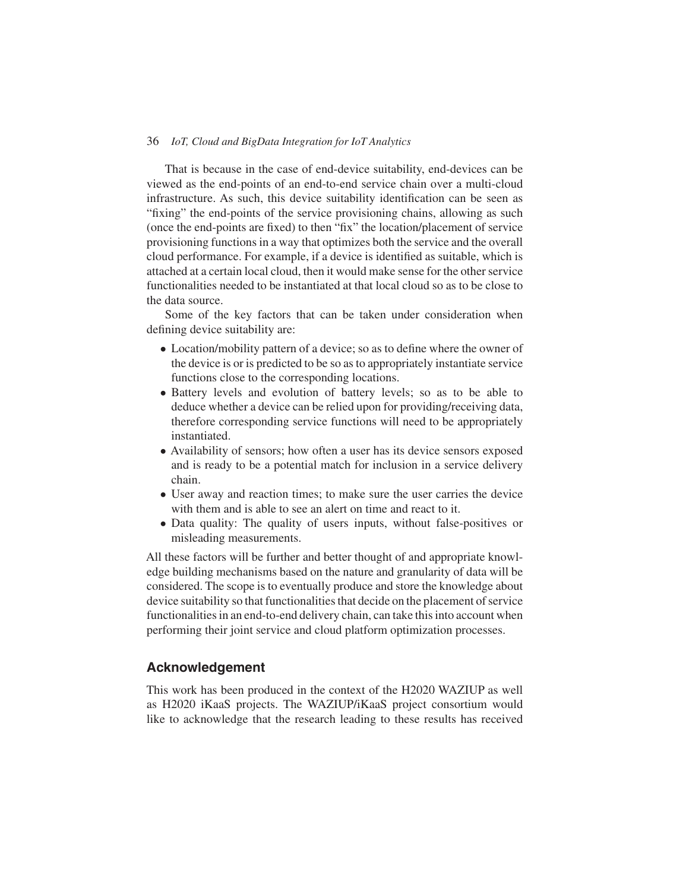That is because in the case of end-device suitability, end-devices can be viewed as the end-points of an end-to-end service chain over a multi-cloud infrastructure. As such, this device suitability identification can be seen as "fixing" the end-points of the service provisioning chains, allowing as such (once the end-points are fixed) to then "fix" the location/placement of service provisioning functions in a way that optimizes both the service and the overall cloud performance. For example, if a device is identified as suitable, which is attached at a certain local cloud, then it would make sense for the other service functionalities needed to be instantiated at that local cloud so as to be close to the data source.

Some of the key factors that can be taken under consideration when defining device suitability are:

- Location/mobility pattern of a device; so as to define where the owner of the device is or is predicted to be so as to appropriately instantiate service functions close to the corresponding locations.
- Battery levels and evolution of battery levels; so as to be able to deduce whether a device can be relied upon for providing/receiving data, therefore corresponding service functions will need to be appropriately instantiated.
- Availability of sensors; how often a user has its device sensors exposed and is ready to be a potential match for inclusion in a service delivery chain.
- User away and reaction times; to make sure the user carries the device with them and is able to see an alert on time and react to it.
- Data quality: The quality of users inputs, without false-positives or misleading measurements.

All these factors will be further and better thought of and appropriate knowledge building mechanisms based on the nature and granularity of data will be considered. The scope is to eventually produce and store the knowledge about device suitability so that functionalities that decide on the placement of service functionalities in an end-to-end delivery chain, can take this into account when performing their joint service and cloud platform optimization processes.

## **Acknowledgement**

This work has been produced in the context of the H2020 WAZIUP as well as H2020 iKaaS projects. The WAZIUP/iKaaS project consortium would like to acknowledge that the research leading to these results has received